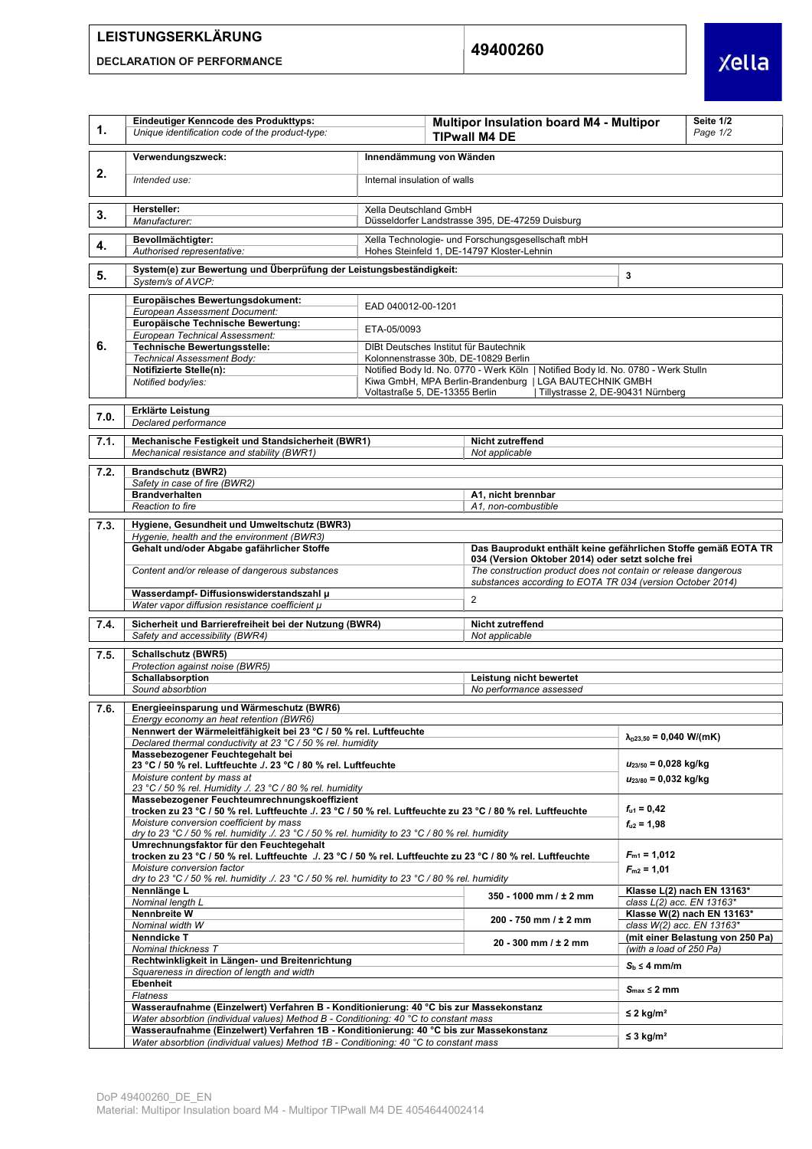## LEISTUNGSERKLÄRUNG

DECLARATION OF PERFORMANCE

49400260



| 1.   | Eindeutiger Kenncode des Produkttyps:<br>Unique identification code of the product-type:                                                                                                                                                                                                                                                                                                                           |                                                                                                                           | Seite 1/2<br>Multipor Insulation board M4 - Multipor<br>Page 1/2<br><b>TIPwall M4 DE</b> |                                                                                                                     |                                                               |  |  |
|------|--------------------------------------------------------------------------------------------------------------------------------------------------------------------------------------------------------------------------------------------------------------------------------------------------------------------------------------------------------------------------------------------------------------------|---------------------------------------------------------------------------------------------------------------------------|------------------------------------------------------------------------------------------|---------------------------------------------------------------------------------------------------------------------|---------------------------------------------------------------|--|--|
|      | Verwendungszweck:                                                                                                                                                                                                                                                                                                                                                                                                  | Innendämmung von Wänden                                                                                                   |                                                                                          |                                                                                                                     |                                                               |  |  |
| 2.   | Intended use:                                                                                                                                                                                                                                                                                                                                                                                                      | Internal insulation of walls                                                                                              |                                                                                          |                                                                                                                     |                                                               |  |  |
| 3.   | Hersteller:<br>Manufacturer:                                                                                                                                                                                                                                                                                                                                                                                       | Xella Deutschland GmbH<br>Düsseldorfer Landstrasse 395, DE-47259 Duisburg                                                 |                                                                                          |                                                                                                                     |                                                               |  |  |
|      | Bevollmächtigter:                                                                                                                                                                                                                                                                                                                                                                                                  | Xella Technologie- und Forschungsgesellschaft mbH                                                                         |                                                                                          |                                                                                                                     |                                                               |  |  |
| 4.   | Authorised representative:                                                                                                                                                                                                                                                                                                                                                                                         | Hohes Steinfeld 1. DE-14797 Kloster-Lehnin                                                                                |                                                                                          |                                                                                                                     |                                                               |  |  |
| 5.   | System(e) zur Bewertung und Überprüfung der Leistungsbeständigkeit:<br>System/s of AVCP:                                                                                                                                                                                                                                                                                                                           | $\mathbf 3$                                                                                                               |                                                                                          |                                                                                                                     |                                                               |  |  |
|      | Europäisches Bewertungsdokument:<br>EAD 040012-00-1201<br>European Assessment Document:                                                                                                                                                                                                                                                                                                                            |                                                                                                                           |                                                                                          |                                                                                                                     |                                                               |  |  |
|      | Europäische Technische Bewertung:                                                                                                                                                                                                                                                                                                                                                                                  | ETA-05/0093                                                                                                               |                                                                                          |                                                                                                                     |                                                               |  |  |
| 6.   | European Technical Assessment:<br>Technische Bewertungsstelle:                                                                                                                                                                                                                                                                                                                                                     |                                                                                                                           | DIBt Deutsches Institut für Bautechnik                                                   |                                                                                                                     |                                                               |  |  |
|      | Technical Assessment Body:<br>Notifizierte Stelle(n):                                                                                                                                                                                                                                                                                                                                                              | Kolonnenstrasse 30b, DE-10829 Berlin<br>Notified Body Id. No. 0770 - Werk Köln   Notified Body Id. No. 0780 - Werk Stulln |                                                                                          |                                                                                                                     |                                                               |  |  |
|      | Notified body/ies:                                                                                                                                                                                                                                                                                                                                                                                                 |                                                                                                                           | Kiwa GmbH, MPA Berlin-Brandenburg   LGA BAUTECHNIK GMBH                                  |                                                                                                                     |                                                               |  |  |
|      | Voltastraße 5, DE-13355 Berlin<br>Tillystrasse 2, DE-90431 Nürnberg                                                                                                                                                                                                                                                                                                                                                |                                                                                                                           |                                                                                          |                                                                                                                     |                                                               |  |  |
| 7.0. | Declared performance                                                                                                                                                                                                                                                                                                                                                                                               | <b>Erklärte Leistung</b>                                                                                                  |                                                                                          |                                                                                                                     |                                                               |  |  |
| 7.1. | Mechanische Festigkeit und Standsicherheit (BWR1)                                                                                                                                                                                                                                                                                                                                                                  |                                                                                                                           | Nicht zutreffend                                                                         |                                                                                                                     |                                                               |  |  |
|      | Mechanical resistance and stability (BWR1)                                                                                                                                                                                                                                                                                                                                                                         |                                                                                                                           | Not applicable                                                                           |                                                                                                                     |                                                               |  |  |
| 7.2. | <b>Brandschutz (BWR2)</b><br>Safety in case of fire (BWR2)                                                                                                                                                                                                                                                                                                                                                         |                                                                                                                           |                                                                                          |                                                                                                                     |                                                               |  |  |
|      | <b>Brandverhalten</b>                                                                                                                                                                                                                                                                                                                                                                                              | A1, nicht brennbar                                                                                                        |                                                                                          |                                                                                                                     |                                                               |  |  |
|      | Reaction to fire                                                                                                                                                                                                                                                                                                                                                                                                   |                                                                                                                           | A1, non-combustible                                                                      |                                                                                                                     |                                                               |  |  |
| 7.3. | Hygiene, Gesundheit und Umweltschutz (BWR3)<br>Hygenie, health and the environment (BWR3)                                                                                                                                                                                                                                                                                                                          |                                                                                                                           |                                                                                          |                                                                                                                     |                                                               |  |  |
|      | Gehalt und/oder Abgabe gafährlicher Stoffe                                                                                                                                                                                                                                                                                                                                                                         |                                                                                                                           |                                                                                          | Das Bauprodukt enthält keine gefährlichen Stoffe gemäß EOTA TR                                                      |                                                               |  |  |
|      | Content and/or release of dangerous substances                                                                                                                                                                                                                                                                                                                                                                     |                                                                                                                           |                                                                                          | 034 (Version Oktober 2014) oder setzt solche frei<br>The construction product does not contain or release dangerous |                                                               |  |  |
|      | Wasserdampf- Diffusionswiderstandszahl µ                                                                                                                                                                                                                                                                                                                                                                           | substances according to EOTA TR 034 (version October 2014)<br>$\mathbf{2}$                                                |                                                                                          |                                                                                                                     |                                                               |  |  |
|      | Water vapor diffusion resistance coefficient µ                                                                                                                                                                                                                                                                                                                                                                     |                                                                                                                           |                                                                                          |                                                                                                                     |                                                               |  |  |
| 7.4. | Sicherheit und Barrierefreiheit bei der Nutzung (BWR4)<br>Safety and accessibility (BWR4)                                                                                                                                                                                                                                                                                                                          |                                                                                                                           | Nicht zutreffend<br>Not applicable                                                       |                                                                                                                     |                                                               |  |  |
| 7.5. | <b>Schallschutz (BWR5)</b>                                                                                                                                                                                                                                                                                                                                                                                         |                                                                                                                           |                                                                                          |                                                                                                                     |                                                               |  |  |
|      | Protection against noise (BWR5)                                                                                                                                                                                                                                                                                                                                                                                    |                                                                                                                           |                                                                                          |                                                                                                                     |                                                               |  |  |
|      | Schallabsorption<br>Sound absorbtion                                                                                                                                                                                                                                                                                                                                                                               | Leistung nicht bewertet<br>No performance assessed                                                                        |                                                                                          |                                                                                                                     |                                                               |  |  |
| 7.6. | Energieeinsparung und Wärmeschutz (BWR6)                                                                                                                                                                                                                                                                                                                                                                           |                                                                                                                           |                                                                                          |                                                                                                                     |                                                               |  |  |
|      | Energy economy an heat retention (BWR6)                                                                                                                                                                                                                                                                                                                                                                            |                                                                                                                           |                                                                                          |                                                                                                                     |                                                               |  |  |
|      | Nennwert der Wärmeleitfähigkeit bei 23 °C / 50 % rel. Luftfeuchte<br>Declared thermal conductivity at 23 °C / 50 % rel. humidity                                                                                                                                                                                                                                                                                   |                                                                                                                           |                                                                                          |                                                                                                                     | $\lambda_{p23,50} = 0,040$ W/(mK)                             |  |  |
|      | Massebezogener Feuchtegehalt bei<br>23 °C / 50 % rel. Luftfeuchte ./. 23 °C / 80 % rel. Luftfeuchte                                                                                                                                                                                                                                                                                                                |                                                                                                                           |                                                                                          |                                                                                                                     | $u_{23/50} = 0,028$ kg/kg                                     |  |  |
|      | Moisture content by mass at                                                                                                                                                                                                                                                                                                                                                                                        |                                                                                                                           |                                                                                          | $u_{23/80} = 0.032$ kg/kg                                                                                           |                                                               |  |  |
|      | 23 °C / 50 % rel. Humidity ./. 23 °C / 80 % rel. humidity<br>Massebezogener Feuchteumrechnungskoeffizient                                                                                                                                                                                                                                                                                                          |                                                                                                                           |                                                                                          |                                                                                                                     |                                                               |  |  |
|      | trocken zu 23 °C / 50 % rel. Luftfeuchte ./. 23 °C / 50 % rel. Luftfeuchte zu 23 °C / 80 % rel. Luftfeuchte<br>Moisture conversion coefficient by mass<br>dry to 23 °C / 50 % rel. humidity ./. 23 °C / 50 % rel. humidity to 23 °C / 80 % rel. humidity<br>Umrechnungsfaktor für den Feuchtegehalt<br>trocken zu 23 °C / 50 % rel. Luftfeuchte ./. 23 °C / 50 % rel. Luftfeuchte zu 23 °C / 80 % rel. Luftfeuchte |                                                                                                                           |                                                                                          |                                                                                                                     | $f_{u1} = 0,42$<br>$f_{u2} = 1,98$                            |  |  |
|      |                                                                                                                                                                                                                                                                                                                                                                                                                    |                                                                                                                           |                                                                                          |                                                                                                                     |                                                               |  |  |
|      |                                                                                                                                                                                                                                                                                                                                                                                                                    |                                                                                                                           |                                                                                          |                                                                                                                     | $F_{m1} = 1,012$                                              |  |  |
|      | Moisture conversion factor<br>dry to 23 °C / 50 % rel. humidity ./. 23 °C / 50 % rel. humidity to 23 °C / 80 % rel. humidity<br>Nennlänge L<br>350 - 1000 mm / ± 2 mm                                                                                                                                                                                                                                              |                                                                                                                           |                                                                                          | $F_{m2} = 1,01$                                                                                                     |                                                               |  |  |
|      |                                                                                                                                                                                                                                                                                                                                                                                                                    |                                                                                                                           |                                                                                          |                                                                                                                     | Klasse L(2) nach EN 13163*<br>class L(2) acc. EN 13163*       |  |  |
|      | Nominal length L<br>Nennbreite W                                                                                                                                                                                                                                                                                                                                                                                   |                                                                                                                           | 200 - 750 mm / ± 2 mm                                                                    |                                                                                                                     | Klasse W(2) nach EN 13163*                                    |  |  |
|      | Nominal width W<br>Nenndicke T                                                                                                                                                                                                                                                                                                                                                                                     |                                                                                                                           |                                                                                          |                                                                                                                     | class W(2) acc. EN 13163*<br>(mit einer Belastung von 250 Pa) |  |  |
|      | Nominal thickness T                                                                                                                                                                                                                                                                                                                                                                                                | 20 - 300 mm / $±$ 2 mm                                                                                                    |                                                                                          |                                                                                                                     | (with a load of 250 Pa)                                       |  |  |
|      | Rechtwinkligkeit in Längen- und Breitenrichtung<br>Squareness in direction of length and width                                                                                                                                                                                                                                                                                                                     | $S_b \leq 4$ mm/m                                                                                                         |                                                                                          |                                                                                                                     |                                                               |  |  |
|      | <b>Ebenheit</b><br>Flatness                                                                                                                                                                                                                                                                                                                                                                                        |                                                                                                                           | $S_{\text{max}} \leq 2$ mm                                                               |                                                                                                                     |                                                               |  |  |
|      | Wasseraufnahme (Einzelwert) Verfahren B - Konditionierung: 40 °C bis zur Massekonstanz                                                                                                                                                                                                                                                                                                                             | $≤$ 2 kg/m <sup>2</sup>                                                                                                   |                                                                                          |                                                                                                                     |                                                               |  |  |
|      | Water absorbtion (individual values) Method B - Conditioning: 40 °C to constant mass<br>Wasseraufnahme (Einzelwert) Verfahren 1B - Konditionierung: 40 °C bis zur Massekonstanz                                                                                                                                                                                                                                    |                                                                                                                           |                                                                                          |                                                                                                                     |                                                               |  |  |
|      | Water absorbtion (individual values) Method 1B - Conditioning: 40 °C to constant mass                                                                                                                                                                                                                                                                                                                              |                                                                                                                           |                                                                                          |                                                                                                                     | ≤ 3 kg/m <sup>2</sup>                                         |  |  |